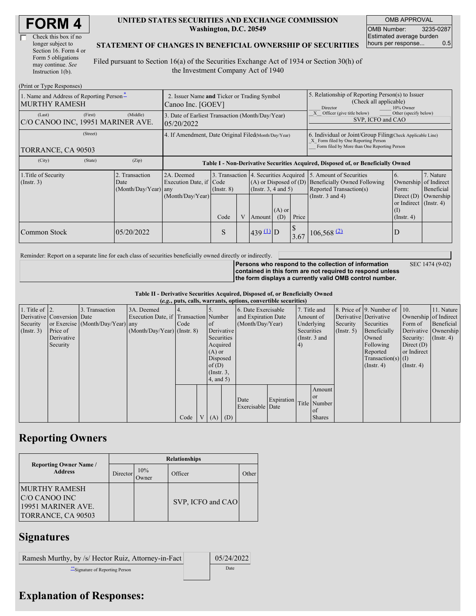| <b>FORM4</b> |
|--------------|
|--------------|

| Check this box if no  |
|-----------------------|
| longer subject to     |
| Section 16. Form 4 or |
| Form 5 obligations    |
| may continue. See     |
| Instruction 1(b).     |

#### **UNITED STATES SECURITIES AND EXCHANGE COMMISSION Washington, D.C. 20549**

OMB APPROVAL OMB Number: 3235-0287 Estimated average burden hours per response... 0.5

#### **STATEMENT OF CHANGES IN BENEFICIAL OWNERSHIP OF SECURITIES**

Filed pursuant to Section 16(a) of the Securities Exchange Act of 1934 or Section 30(h) of the Investment Company Act of 1940

| (Print or Type Responses)                                        |                                                                  |                                                |                                                                |                                                                                  |   |                                                      |                                                                                                     |       |                                                                                                                                                          |                                                                                      |                                      |
|------------------------------------------------------------------|------------------------------------------------------------------|------------------------------------------------|----------------------------------------------------------------|----------------------------------------------------------------------------------|---|------------------------------------------------------|-----------------------------------------------------------------------------------------------------|-------|----------------------------------------------------------------------------------------------------------------------------------------------------------|--------------------------------------------------------------------------------------|--------------------------------------|
| 1. Name and Address of Reporting Person*<br><b>MURTHY RAMESH</b> | 2. Issuer Name and Ticker or Trading Symbol<br>Canoo Inc. [GOEV] |                                                |                                                                |                                                                                  |   |                                                      | 5. Relationship of Reporting Person(s) to Issuer<br>(Check all applicable)<br>Director<br>10% Owner |       |                                                                                                                                                          |                                                                                      |                                      |
| (Last)<br>C/O CANOO INC, 19951 MARINER AVE.                      | (First)                                                          | (Middle)                                       | 3. Date of Earliest Transaction (Month/Day/Year)<br>05/20/2022 |                                                                                  |   |                                                      |                                                                                                     |       | Officer (give title below)<br>Other (specify below)<br>SVP, ICFO and CAO                                                                                 |                                                                                      |                                      |
| (Street)<br>TORRANCE, CA 90503                                   |                                                                  |                                                | 4. If Amendment, Date Original Filed(Month/Day/Year)           |                                                                                  |   |                                                      |                                                                                                     |       | 6. Individual or Joint/Group Filing(Check Applicable Line)<br>X Form filed by One Reporting Person<br>Form filed by More than One Reporting Person       |                                                                                      |                                      |
| (City)                                                           | (State)                                                          | (Zip)                                          |                                                                | Table I - Non-Derivative Securities Acquired, Disposed of, or Beneficially Owned |   |                                                      |                                                                                                     |       |                                                                                                                                                          |                                                                                      |                                      |
| 1. Title of Security<br>$($ Instr. 3 $)$                         |                                                                  | 2. Transaction<br>Date<br>(Month/Day/Year) any | 2A. Deemed<br>Execution Date, if Code<br>(Month/Day/Year)      | $($ Instr. $8)$                                                                  |   | $(A)$ or Disposed of $(D)$<br>$($ Instr. 3, 4 and 5) |                                                                                                     |       | 3. Transaction 4. Securities Acquired 5. Amount of Securities<br><b>Beneficially Owned Following</b><br>Reported Transaction(s)<br>(Instr. $3$ and $4$ ) | 6.<br>Ownership of Indirect<br>Form:<br>Direct $(D)$<br>or Indirect $($ Instr. 4 $)$ | 7. Nature<br>Beneficial<br>Ownership |
|                                                                  |                                                                  |                                                |                                                                | Code                                                                             | V | Amount                                               | $(A)$ or<br>(D)                                                                                     | Price |                                                                                                                                                          | $\left($ I<br>$($ Instr. 4 $)$                                                       |                                      |
| Common Stock                                                     |                                                                  | 05/20/2022                                     |                                                                | S                                                                                |   | $439 \underline{11}$ D                               |                                                                                                     | 3.67  | $106,568$ <sup>(2)</sup>                                                                                                                                 | D                                                                                    |                                      |

Reminder: Report on a separate line for each class of securities beneficially owned directly or indirectly.

SEC 1474 (9-02)

**Persons who respond to the collection of information contained in this form are not required to respond unless the form displays a currently valid OMB control number.**

|  |  | Table II - Derivative Securities Acquired, Disposed of, or Beneficially Owned |  |
|--|--|-------------------------------------------------------------------------------|--|
|  |  | $\ell = 1$ is the set of the set of $\ell$ in the set of $\ell$               |  |

|                        | (e.g., puts, calls, warrants, options, convertible securities) |                                  |                                       |      |                |             |                 |                     |            |            |                 |                      |                              |                       |                      |
|------------------------|----------------------------------------------------------------|----------------------------------|---------------------------------------|------|----------------|-------------|-----------------|---------------------|------------|------------|-----------------|----------------------|------------------------------|-----------------------|----------------------|
| 1. Title of $\vert$ 2. |                                                                | 3. Transaction                   | 3A. Deemed                            |      |                |             |                 | 6. Date Exercisable |            |            | 7. Title and    |                      | 8. Price of 9. Number of 10. |                       | 11. Nature           |
|                        | Derivative Conversion Date                                     |                                  | Execution Date, if Transaction Number |      |                |             |                 | and Expiration Date |            | Amount of  |                 |                      | Derivative Derivative        | Ownership of Indirect |                      |
| Security               |                                                                | or Exercise (Month/Day/Year) any |                                       | Code |                | of          |                 | (Month/Day/Year)    |            |            | Underlying      | Security             | Securities                   | Form of               | Beneficial           |
| $($ Instr. 3 $)$       | Price of                                                       |                                  | $(Month/Day/Year)$ (Instr. 8)         |      |                | Derivative  |                 |                     |            | Securities |                 | $($ Instr. 5)        | Beneficially                 |                       | Derivative Ownership |
|                        | Derivative                                                     |                                  |                                       |      |                | Securities  |                 |                     |            |            | (Instr. $3$ and |                      | Owned                        | Security:             | $($ Instr. 4)        |
|                        | Security                                                       |                                  |                                       |      |                | Acquired    |                 |                     |            | 4)         |                 |                      | Following                    | Direct $(D)$          |                      |
|                        |                                                                |                                  |                                       |      |                |             | $(A)$ or        |                     |            |            |                 | Reported             | or Indirect                  |                       |                      |
|                        |                                                                |                                  |                                       |      |                | Disposed    |                 |                     |            |            |                 | $Transaction(s)$ (I) |                              |                       |                      |
|                        |                                                                |                                  |                                       |      |                |             | of $(D)$        |                     |            |            |                 | $($ Instr. 4 $)$     | $($ Instr. 4)                |                       |                      |
|                        |                                                                |                                  |                                       |      |                |             | $($ Instr. $3,$ |                     |            |            |                 |                      |                              |                       |                      |
|                        |                                                                |                                  |                                       |      |                |             | $4$ , and $5$ ) |                     |            |            |                 |                      |                              |                       |                      |
|                        |                                                                |                                  |                                       |      |                |             |                 |                     |            |            | Amount          |                      |                              |                       |                      |
|                        |                                                                |                                  |                                       |      |                |             |                 | Date                | Expiration |            | <b>or</b>       |                      |                              |                       |                      |
|                        |                                                                |                                  |                                       |      |                |             |                 | Exercisable Date    |            |            | Title Number    |                      |                              |                       |                      |
|                        |                                                                |                                  |                                       |      |                |             |                 |                     |            |            | of              |                      |                              |                       |                      |
|                        |                                                                |                                  |                                       | Code | V <sub>1</sub> | $(A)$ $(D)$ |                 |                     |            |            | <b>Shares</b>   |                      |                              |                       |                      |

# **Reporting Owners**

|                                                                                    |          |              | <b>Relationships</b> |                    |
|------------------------------------------------------------------------------------|----------|--------------|----------------------|--------------------|
| <b>Reporting Owner Name /</b><br><b>Address</b>                                    | Director | 10%<br>Jwner | Officer              | Other <sup>1</sup> |
| <b>MURTHY RAMESH</b><br>IC/O CANOO INC<br>19951 MARINER AVE.<br>TORRANCE, CA 90503 |          |              | SVP, ICFO and CAO    |                    |

### **Signatures**

| Ramesh Murthy, by /s/ Hector Ruiz, Attorney-in-Fact | 05/24/2022 |
|-----------------------------------------------------|------------|
| Signature of Reporting Person                       | Date       |

# **Explanation of Responses:**